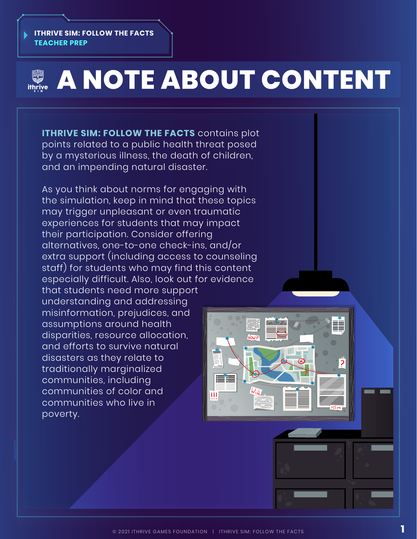#### **ITHRIVE SIM: FOLLOW THE FACTS TEACHER PREP**

# **EXAMPLE ABOUT CONTENT**

**ITHRIVE SIM: FOLLOW THE FACTS** contains plot points related to a public health threat posed by a mysterious illness, the death of children, and an impending natural disaster.

As you think about norms for engaging with the simulation, keep in mind that these topics may trigger unpleasant or even traumatic experiences for students that may impact their participation. Consider offering alternatives, one-to-one check-ins, and/or extra support (including access to counseling staff) for students who may find this content especially difficult. Also, look out for evidence

that students need more support understanding and addressing misinformation, prejudices, and assumptions around health disparities, resource allocation, and efforts to survive natural disasters as they relate to traditionally marginalized communities, including communities of color and communities who live in poverty.

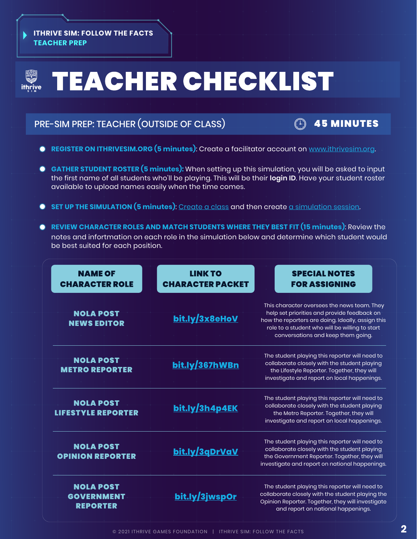#### **ITHRIVE SIM: FOLLOW THE FACTS TEACHER PREP**

# **TEACHER CHECKLIST 、<br>ithrive**

# PRE-SIM PREP: TEACHER (OUTSIDE OF CLASS) 45 MINUTES



- **REGISTER ON ITHRIVESIM.ORG (5 minutes)**: Create a facilitator account on [www.ithrivesim.org.](www.ithrivesim.org)
- **GATHER STUDENT ROSTER (5 minutes):** When setting up this simulation, you will be asked to input the first name of all students who'll be playing. This will be their **login ID**. Have your student roster available to upload names easily when the time comes.
- **SET UP THE SIMULATION (5 minutes)**: [Create a class](https://ithrivegames.notion.site/Create-a-Class-9b7fdede6e744da58ba7c1d27eb9d3da) and then create [a simulation session.](https://ithrivegames.notion.site/Create-a-Simulation-Session-d7e00b9e0e5e452e9e2ee7756182eca1)
- **REVIEW CHARACTER ROLES AND MATCH STUDENTS WHERE THEY BEST FIT (15 minutes)**: Review the notes and infortmation on each role in the simulation below and determine which student would be best suited for each position.

| <b>NAME OF</b><br><b>CHARACTER ROLE</b>                  | <b>LINK TO</b><br><b>CHARACTER PACKET</b> | <b>SPECIAL NOTES</b><br><b>FOR ASSIGNING</b>                                                                                                                                                                                            |
|----------------------------------------------------------|-------------------------------------------|-----------------------------------------------------------------------------------------------------------------------------------------------------------------------------------------------------------------------------------------|
| <b>NOLA POST</b><br><b>NEWS EDITOR</b>                   | bit.ly/3x8eHoV                            | This character oversees the news team. They<br>help set priorities and provide feedback on<br>how the reporters are doing. Ideally, assign this<br>role to a student who will be willing to start<br>conversations and keep them going. |
| <b>NOLA POST</b><br><b>METRO REPORTER</b>                | bit.ly/367hWBn                            | The student playing this reporter will need to<br>collaborate closely with the student playing<br>the Lifestyle Reporter. Together, they will<br>investigate and report on local happenings.                                            |
| <b>NOLA POST</b><br><b>LIFESTYLE REPORTER</b>            | bit.ly/3h4p4EK                            | The student playing this reporter will need to<br>collaborate closely with the student playing<br>the Metro Reporter. Together, they will<br>investigate and report on local happenings.                                                |
| <b>NOLA POST</b><br><b>OPINION REPORTER</b>              | bit.ly/3qDrVaV                            | The student playing this reporter will need to<br>collaborate closely with the student playing<br>the Government Reporter. Together, they will<br>investigate and report on national happenings.                                        |
| <b>NOLA POST</b><br><b>GOVERNMENT</b><br><b>REPORTER</b> | bit.ly/3jwspOr                            | The student playing this reporter will need to<br>collaborate closely with the student playing the<br>Opinion Reporter. Together, they will investigate<br>and report on national happenings.                                           |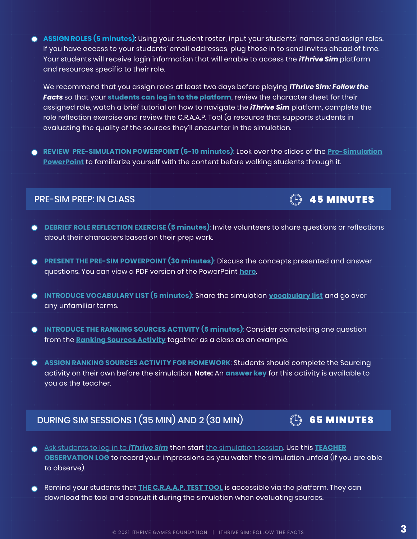**ASSIGN ROLES (5 minutes)**: Using your student roster, input your students' names and assign roles. If you have access to your students' email addresses, plug those in to send invites ahead of time. Your students will receive login information that will enable to access the *iThrive Sim* platform and resources specific to their role.

We recommend that you assign roles at least two days before playing *iThrive Sim: Follow the Facts* so that your **[students can log in to the platform](https://ithrivegames.notion.site/Get-Students-Logged-in-d04caec1a0e5402b82c9afa406f6c6f1)**, review the character sheet for their assigned role, watch a brief tutorial on how to navigate the *iThrive Sim* platform, complete the role reflection exercise and review the C.R.A.A.P. Tool (a resource that supports students in evaluating the quality of the sources they'll encounter in the simulation.

**REVIEW PRE-SIMULATION POWERPOINT (5-10 minutes)**: Look over the slides of the **[Pre-Simulation](https://docs.google.com/presentation/d/1CUBGXdiNv6dSXgV0TquedGN-mfS3jEVdjW3ByPvGCDM/edit?usp=sharing) [PowerPoint](https://docs.google.com/presentation/d/1CUBGXdiNv6dSXgV0TquedGN-mfS3jEVdjW3ByPvGCDM/edit?usp=sharing)** to familiarize yourself with the content before walking students through it.

### PRE-SIM PREP: IN CLASS **1999 The SIMUS CONSTRUCTER** 45 MINUTES

- **DEBRIEF ROLE REFLECTION EXERCISE (5 minutes)**: Invite volunteers to share questions or reflections about their characters based on their prep work.
- **PRESENT THE PRE-SIM POWERPOINT (30 minutes)**: Discuss the concepts presented and answer  $\bullet$ questions. You can view a PDF version of the PowerPoint **[here](https://ithrivegames.org/wp-content/uploads/2021/10/iThrive-Sim_-Follow-the-Facts-Pre-Sim-PowerPoint.pdf)**.
- **INTRODUCE VOCABULARY LIST (5 minutes)**: Share the simulation **[vocabulary](https://ithrivegames.org/wp-content/uploads/2021/06/FTF-Vocabulary-List.pdf) list** and go over any unfamiliar terms.
- **INTRODUCE THE RANKING SOURCES ACTIVITY (5 minutes)**: Consider completing one question  $\bullet$ from the **[Ranking](https://docs.google.com/document/d/1DBmbHDUhJkVvv6iHo5cIc7lBHcyQ2vgR-t4tS3jNJNI/edit?usp=sharing) Sources Activity** together as a class as an example.
- **ASSIGN [RANKING SOURCES ACTIVITY F](https://docs.google.com/document/d/1DBmbHDUhJkVvv6iHo5cIc7lBHcyQ2vgR-t4tS3jNJNI/edit?usp=sharing)OR HOMEWORK**: Students should complete the Sourcing activity on their own before the simulation. **Note:** An **[answer key](https://docs.google.com/document/d/1t7iEpye4qP-uQG9HlZCxvvNVd9r9fXH17XCX_thBuAw/edit?usp=sharing)** for this activity is available to you as the teacher.

# DURING SIM SESSIONS 1 (35 MIN) AND 2 (30 MIN)  $\qquad \qquad \textcircled{\tiny{\textcircled{\tiny{}}}}$  65 MINUTES

- [Ask students to log](https://ithrivegames.notion.site/Get-Students-Logged-in-d04caec1a0e5402b82c9afa406f6c6f1) in to *iThrive Sim* then start [the simulation session.](https://ithrivegames.notion.site/Start-a-Simulation-Session-b58fbf5929a94e698835e24bc50e4be8) Use this **[TEACHER](https://ithrivegames.org/wp-content/uploads/2021/06/FTF-Teacher-Observation-Log.pdf) [OBSERVATION LOG](https://ithrivegames.org/wp-content/uploads/2021/06/FTF-Teacher-Observation-Log.pdf)** to record your impressions as you watch the simulation unfold (if you are able to observe).
- Remind your students that **[THE C.R.A.A.P. TEST](https://ithrivegames.org/wp-content/uploads/2021/06/FTF-The-C.R.A.A.P.-Tool.pdf) TOOL** is accessible via the platform. They can  $\bigcap$ download the tool and consult it during the simulation when evaluating sources.